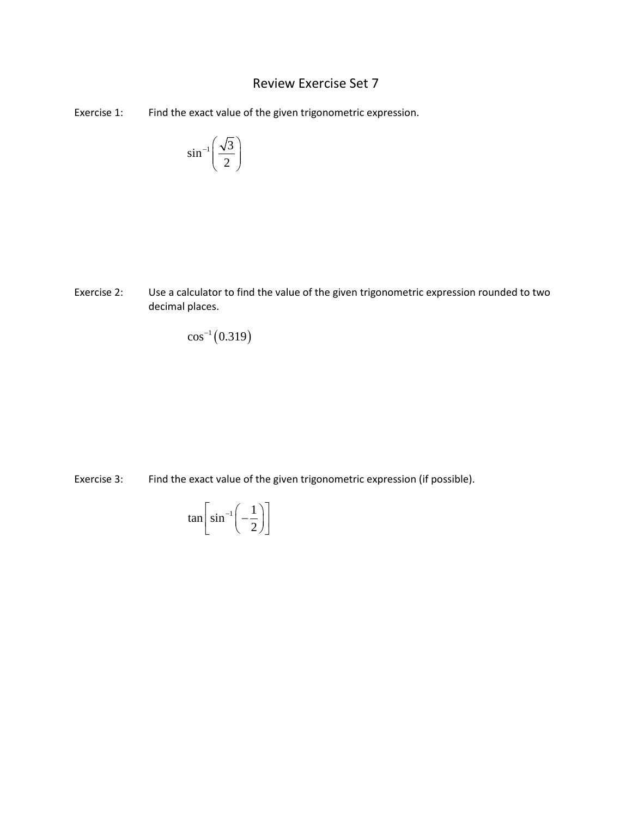## Review Exercise Set 7

Exercise 1: Find the exact value of the given trigonometric expression.

$$
\sin^{-1}\left(\frac{\sqrt{3}}{2}\right)
$$

Exercise 2: Use a calculator to find the value of the given trigonometric expression rounded to two decimal places.

 $\cos^{-1}(0.319)$ 

Exercise 3: Find the exact value of the given trigonometric expression (if possible).

$$
\tan\left[\sin^{-1}\left(-\frac{1}{2}\right)\right]
$$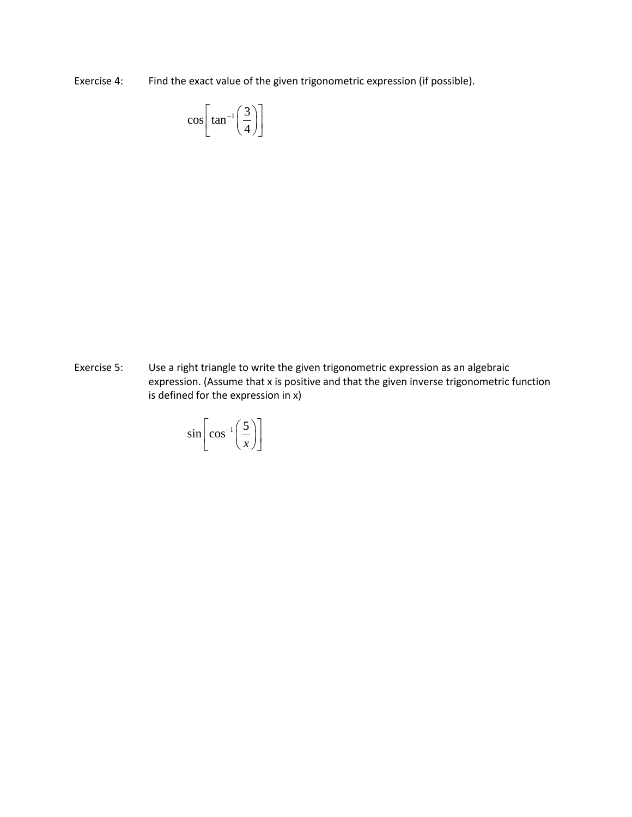Exercise 4: Find the exact value of the given trigonometric expression (if possible).

$$
\cos\left[\tan^{-1}\left(\frac{3}{4}\right)\right]
$$

Exercise 5: Use a right triangle to write the given trigonometric expression as an algebraic expression. (Assume that x is positive and that the given inverse trigonometric function is defined for the expression in x)

$$
\sin\left[\cos^{-1}\left(\frac{5}{x}\right)\right]
$$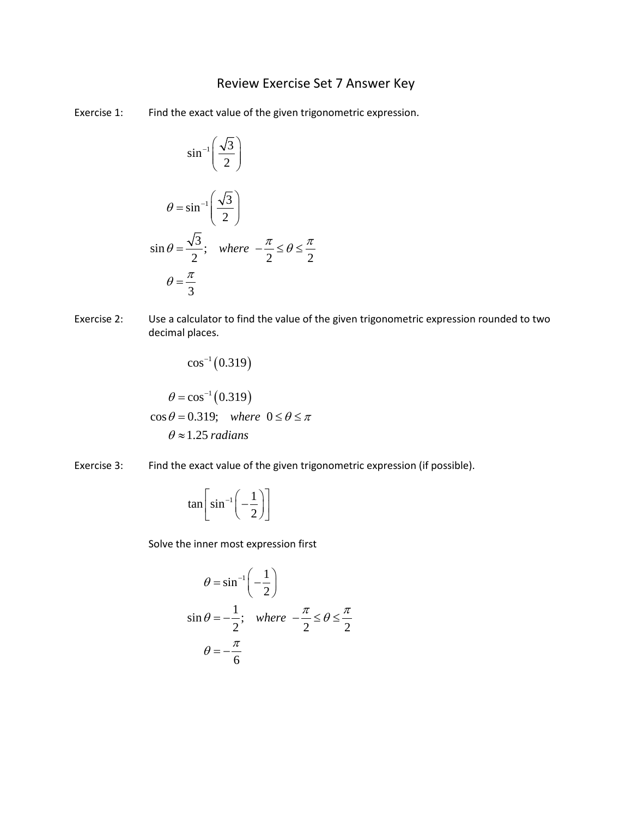## Review Exercise Set 7 Answer Key

Exercise 1: Find the exact value of the given trigonometric expression.

$$
\sin^{-1}\left(\frac{\sqrt{3}}{2}\right)
$$
  

$$
\theta = \sin^{-1}\left(\frac{\sqrt{3}}{2}\right)
$$
  

$$
\sin \theta = \frac{\sqrt{3}}{2}; \quad \text{where} \quad -\frac{\pi}{2} \le \theta \le \frac{\pi}{2}
$$
  

$$
\theta = \frac{\pi}{3}
$$

Exercise 2: Use a calculator to find the value of the given trigonometric expression rounded to two decimal places.

$$
\cos^{-1}(0.319)
$$

$$
\theta = \cos^{-1}(0.319)
$$

$$
\cos \theta = 0.319; \text{ where } 0 \le \theta \le \pi
$$

$$
\theta \approx 1.25 \text{ radians}
$$

Exercise 3: Find the exact value of the given trigonometric expression (if possible).

$$
\tan\left[\sin^{-1}\left(-\frac{1}{2}\right)\right]
$$

Solve the inner most expression first

$$
\theta = \sin^{-1}\left(-\frac{1}{2}\right)
$$
  

$$
\sin \theta = -\frac{1}{2}; \quad \text{where} \quad -\frac{\pi}{2} \le \theta \le \frac{\pi}{2}
$$
  

$$
\theta = -\frac{\pi}{6}
$$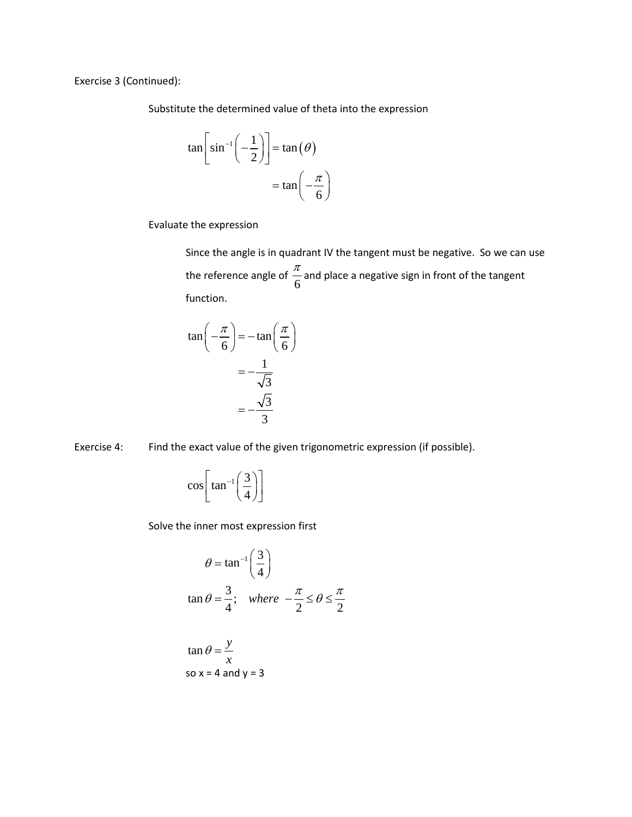Exercise 3 (Continued):

Substitute the determined value of theta into the expression

$$
\tan\left[\sin^{-1}\left(-\frac{1}{2}\right)\right] = \tan(\theta)
$$

$$
= \tan\left(-\frac{\pi}{6}\right)
$$

Evaluate the expression

Since the angle is in quadrant IV the tangent must be negative. So we can use the reference angle of  $\frac{\pi}{6}$  and place a negative sign in front of the tangent function.

$$
\tan\left(-\frac{\pi}{6}\right) = -\tan\left(\frac{\pi}{6}\right)
$$

$$
= -\frac{1}{\sqrt{3}}
$$

$$
= -\frac{\sqrt{3}}{3}
$$

Exercise 4: Find the exact value of the given trigonometric expression (if possible).

 $\cos \left| \tan^{-1} \left( \frac{3}{4} \right) \right|$  $\left[\tan^{-1}\left(\frac{3}{4}\right)\right]$ 

Solve the inner most expression first

$$
\theta = \tan^{-1}\left(\frac{3}{4}\right)
$$
  

$$
\tan \theta = \frac{3}{4}; \quad \text{where} \quad -\frac{\pi}{2} \le \theta \le \frac{\pi}{2}
$$

$$
\tan \theta = \frac{y}{x}
$$
  
so x = 4 and y = 3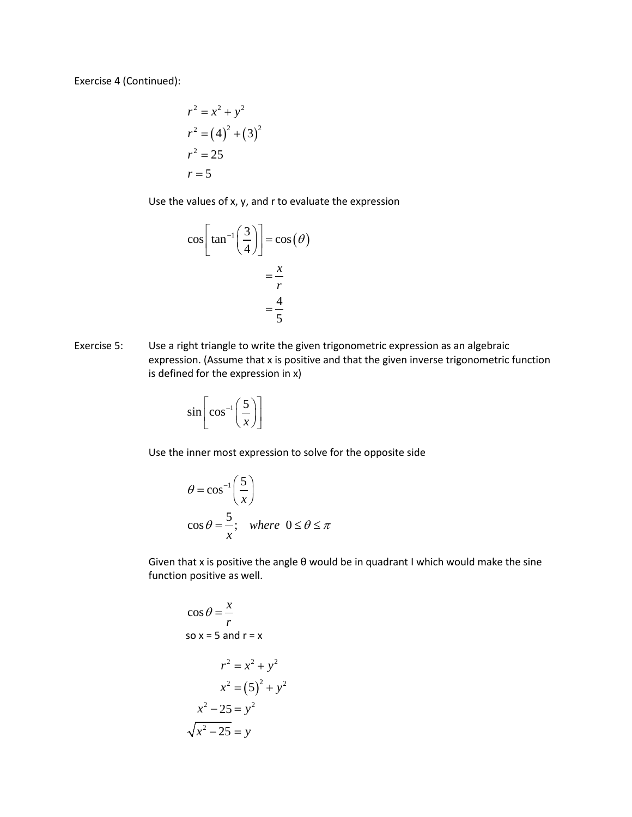Exercise 4 (Continued):

$$
r2 = x2 + y2
$$
  
\n
$$
r2 = (4)2 + (3)2
$$
  
\n
$$
r2 = 25
$$
  
\n
$$
r = 5
$$

Use the values of x, y, and r to evaluate the expression

$$
\cos\left[\tan^{-1}\left(\frac{3}{4}\right)\right] = \cos(\theta)
$$

$$
= \frac{x}{r}
$$

$$
= \frac{4}{5}
$$

Exercise 5: Use a right triangle to write the given trigonometric expression as an algebraic expression. (Assume that x is positive and that the given inverse trigonometric function is defined for the expression in x)

$$
\sin\left[\cos^{-1}\left(\frac{5}{x}\right)\right]
$$

Use the inner most expression to solve for the opposite side

$$
\theta = \cos^{-1}\left(\frac{5}{x}\right)
$$
  

$$
\cos \theta = \frac{5}{x}; \text{ where } 0 \le \theta \le \pi
$$

Given that x is positive the angle θ would be in quadrant I which would make the sine function positive as well.

$$
\cos \theta = \frac{x}{r}
$$
  
\nso x = 5 and r = x  
\n
$$
r^2 = x^2 + y^2
$$
\n
$$
x^2 = (5)^2 + y^2
$$
\n
$$
x^2 - 25 = y^2
$$
\n
$$
\sqrt{x^2 - 25} = y
$$